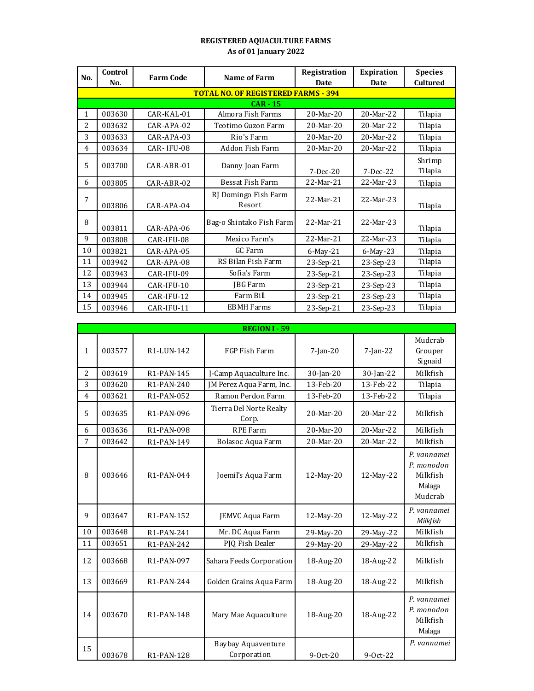## **REGISTERED AQUACULTURE FARMS As of 01 January 2022**

| No.            | Control                                    | <b>Farm Code</b>  | Name of Farm                   | Registration | <b>Expiration</b> | <b>Species</b>  |  |  |  |
|----------------|--------------------------------------------|-------------------|--------------------------------|--------------|-------------------|-----------------|--|--|--|
|                | No.                                        |                   |                                | Date         | Date              | <b>Cultured</b> |  |  |  |
|                | <b>TOTAL NO. OF REGISTERED FARMS - 394</b> |                   |                                |              |                   |                 |  |  |  |
|                |                                            |                   | $CAR - 15$                     |              |                   |                 |  |  |  |
| 1              | 003630                                     | $CAR$ - $KAL$ -01 | Almora Fish Farms              | 20-Mar-20    | $20-Mar-22$       | Tilapia         |  |  |  |
| $\overline{2}$ | 003632                                     | CAR-APA-02        | Teotimo Guzon Farm             | $20-Mar-20$  | 20-Mar-22         | Tilapia         |  |  |  |
| 3              | 003633                                     | $CAR-APA-03$      | Rio's Farm                     | $20-Mar-20$  | 20-Mar-22         | Tilapia         |  |  |  |
| 4              | 003634                                     | CAR-IFU-08        | Addon Fish Farm                | 20-Mar-20    | 20-Mar-22         | Tilapia         |  |  |  |
| 5              | 003700                                     | $CAR-ABR-01$      | Danny Joan Farm                |              |                   | Shrimp          |  |  |  |
|                |                                            |                   |                                | $7-Dec-20$   | $7-Dec-22$        | Tilapia         |  |  |  |
| 6              | 003805                                     | CAR-ABR-02        | Bessat Fish Farm               | 22-Mar-21    | 22-Mar-23         | Tilapia         |  |  |  |
| 7              | 003806                                     | $CAR$ -APA-04     | RJ Domingo Fish Farm<br>Resort | 22-Mar-21    | $22-Mar-23$       | Tilapia         |  |  |  |
| 8              | 003811                                     | $CAR-APA-06$      | Bag-o Shintako Fish Farm       | 22-Mar-21    | 22-Mar-23         | Tilapia         |  |  |  |
| 9              | 003808                                     | CAR-IFU-08        | Mexico Farm's                  | 22-Mar-21    | 22-Mar-23         | Tilapia         |  |  |  |
| 10             | 003821                                     | CAR-APA-05        | GC Farm                        | 6-May-21     | 6-May-23          | Tilapia         |  |  |  |
| 11             | 003942                                     | CAR-APA-08        | RS Bilan Fish Farm             | 23-Sep-21    | 23-Sep-23         | Tilapia         |  |  |  |
| 12             | 003943                                     | CAR-IFU-09        | Sofia's Farm                   | 23-Sep-21    | 23-Sep-23         | Tilapia         |  |  |  |
| 13             | 003944                                     | CAR-IFU-10        | JBG Farm                       | 23-Sep-21    | 23-Sep-23         | Tilapia         |  |  |  |
| 14             | 003945                                     | CAR-IFU-12        | Farm Bill                      | 23-Sep-21    | 23-Sep-23         | Tilapia         |  |  |  |
| 15             | 003946                                     | CAR-IFU-11        | <b>EBMH</b> Farms              | 23-Sep-21    | 23-Sep-23         | Tilapia         |  |  |  |

|                |        |                         | <b>REGION I - 59</b>                     |             |             |                                                            |
|----------------|--------|-------------------------|------------------------------------------|-------------|-------------|------------------------------------------------------------|
| 1              | 003577 | R1-LUN-142              | FGP Fish Farm                            | $7$ -Jan-20 | $7$ -Jan-22 | Mudcrab<br>Grouper<br>Signaid                              |
| 2              | 003619 | R1-PAN-145              | J-Camp Aquaculture Inc.                  | 30-Jan-20   | 30-Jan-22   | Milkfish                                                   |
| 3              | 003620 | R1-PAN-240              | JM Perez Aqua Farm, Inc.                 | 13-Feb-20   | 13-Feb-22   | Tilapia                                                    |
| $\overline{4}$ | 003621 | R1-PAN-052              | Ramon Perdon Farm                        | 13-Feb-20   | 13-Feb-22   | Tilapia                                                    |
| 5              | 003635 | R1-PAN-096              | Tierra Del Norte Realty<br>Corp.         | 20-Mar-20   | 20-Mar-22   | Milkfish                                                   |
| 6              | 003636 | R1-PAN-098              | <b>RPE Farm</b>                          | 20-Mar-20   | 20-Mar-22   | Milkfish                                                   |
| 7              | 003642 | R1-PAN-149              | Bolasoc Aqua Farm                        | 20-Mar-20   | 20-Mar-22   | Milkfish                                                   |
| 8              | 003646 | R1-PAN-044              | Joemil's Aqua Farm                       | 12-May-20   | 12-May-22   | P. vannamei<br>P. monodon<br>Milkfish<br>Malaga<br>Mudcrab |
| 9              | 003647 | R <sub>1</sub> -PAN-152 | JEMVC Aqua Farm                          | 12-May-20   | 12-May-22   | P. vannamei<br>Milkfish                                    |
| 10             | 003648 | R1-PAN-241              | Mr. DC Aqua Farm                         | 29-May-20   | 29-May-22   | Milkfish                                                   |
| 11             | 003651 | R1-PAN-242              | PJQ Fish Dealer                          | 29-May-20   | 29-May-22   | Milkfish                                                   |
| 12             | 003668 | R1-PAN-097              | Sahara Feeds Corporation                 | 18-Aug-20   | 18-Aug-22   | Milkfish                                                   |
| 13             | 003669 | R1-PAN-244              | Golden Grains Aqua Farm                  | 18-Aug-20   | 18-Aug-22   | Milkfish                                                   |
| 14             | 003670 | R <sub>1</sub> -PAN-148 | Mary Mae Aquaculture                     | 18-Aug-20   | 18-Aug-22   | P. vannamei<br>P. monodon<br>Milkfish<br>Malaga            |
| 15             | 003678 | R1-PAN-128              | <b>Baybay Aquaventure</b><br>Corporation | $9-0ct-20$  | 9-0ct-22    | P. vannamei                                                |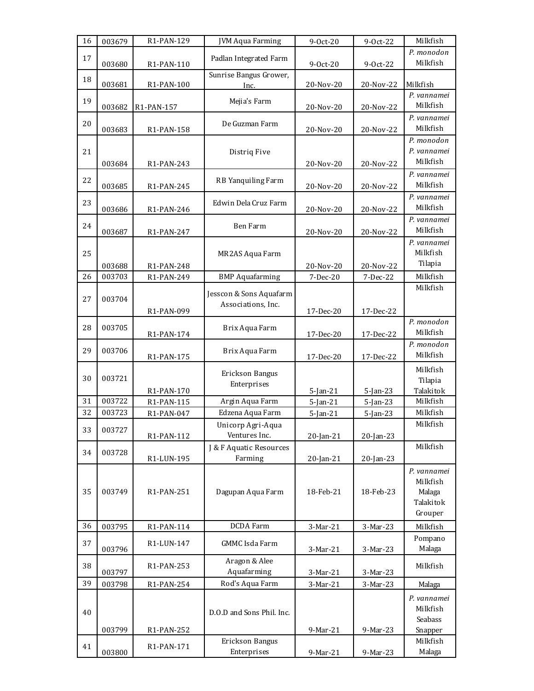| 16 | 003679 | R1-PAN-129               | <b>JVM Aqua Farming</b>                       | 9-0ct-20                   | 9-0ct-22                   | Milkfish                                                  |
|----|--------|--------------------------|-----------------------------------------------|----------------------------|----------------------------|-----------------------------------------------------------|
| 17 | 003680 | R1-PAN-110               | Padlan Integrated Farm                        | 9-Oct-20                   | 9-Oct-22                   | P. monodon<br>Milkfish                                    |
| 18 | 003681 | R1-PAN-100               | Sunrise Bangus Grower,<br>Inc.                | 20-Nov-20                  | 20-Nov-22                  | Milkfish                                                  |
| 19 | 003682 | R1-PAN-157               | Mejia's Farm                                  | 20-Nov-20                  | 20-Nov-22                  | P. vannamei<br>Milkfish                                   |
| 20 | 003683 | R1-PAN-158               | De Guzman Farm                                | 20-Nov-20                  | 20-Nov-22                  | P. vannamei<br>Milkfish                                   |
| 21 | 003684 | R1-PAN-243               | Distriq Five                                  | 20-Nov-20                  | 20-Nov-22                  | P. monodon<br>P. vannamei<br>Milkfish                     |
| 22 | 003685 | R1-PAN-245               | RB Yanquiling Farm                            | 20-Nov-20                  | 20-Nov-22                  | P. vannamei<br>Milkfish                                   |
| 23 | 003686 | R1-PAN-246               | Edwin Dela Cruz Farm                          | 20-Nov-20                  | 20-Nov-22                  | P. vannamei<br>Milkfish                                   |
| 24 | 003687 | R1-PAN-247               | Ben Farm                                      | 20-Nov-20                  | 20-Nov-22                  | P. vannamei<br>Milkfish                                   |
| 25 | 003688 | R1-PAN-248               | MR2AS Aqua Farm                               | 20-Nov-20                  | 20-Nov-22                  | P. vannamei<br>Milkfish<br>Tilapia                        |
| 26 | 003703 | R1-PAN-249               | <b>BMP</b> Aquafarming                        | 7-Dec-20                   | 7-Dec-22                   | Milkfish                                                  |
| 27 | 003704 | R1-PAN-099               | Jesscon & Sons Aquafarm<br>Associations, Inc. | 17-Dec-20                  | 17-Dec-22                  | Milkfish                                                  |
| 28 | 003705 | R1-PAN-174               | Brix Aqua Farm                                | 17-Dec-20                  | 17-Dec-22                  | P. monodon<br>Milkfish                                    |
| 29 | 003706 | R1-PAN-175               | Brix Aqua Farm                                | 17-Dec-20                  | 17-Dec-22                  | P. monodon<br>Milkfish                                    |
| 30 | 003721 |                          | Erickson Bangus<br>Enterprises                |                            |                            | Milkfish<br>Tilapia<br>Talakitok                          |
| 31 | 003722 | R1-PAN-170<br>R1-PAN-115 | Argin Aqua Farm                               | $5$ -Jan-21<br>$5$ -Jan-21 | $5$ -Jan-23<br>$5$ -Jan-23 | Milkfish                                                  |
| 32 | 003723 | R1-PAN-047               | Edzena Aqua Farm                              | $5 - Jan - 21$             | $5$ -Jan-23                | Milkfish                                                  |
| 33 | 003727 | R1-PAN-112               | Unicorp Agri-Aqua<br>Ventures Inc.            | $20$ -Jan- $21$            | $20$ -Jan-23               | Milkfish                                                  |
| 34 | 003728 | R1-LUN-195               | J & F Aquatic Resources<br>Farming            | $20$ -Jan- $21$            | $20$ -Jan-23               | Milkfish                                                  |
| 35 | 003749 | R1-PAN-251               | Dagupan Aqua Farm                             | 18-Feb-21                  | 18-Feb-23                  | P. vannamei<br>Milkfish<br>Malaga<br>Talakitok<br>Grouper |
| 36 | 003795 | R1-PAN-114               | DCDA Farm                                     | 3-Mar-21                   | 3-Mar-23                   | Milkfish                                                  |
| 37 | 003796 | R1-LUN-147               | <b>GMMC</b> Isda Farm                         | 3-Mar-21                   | 3-Mar-23                   | Pompano<br>Malaga                                         |
| 38 | 003797 | R1-PAN-253               | Aragon & Alee<br>Aquafarming                  | 3-Mar-21                   | 3-Mar-23                   | Milkfish                                                  |
| 39 | 003798 | R1-PAN-254               | Rod's Aqua Farm                               | 3-Mar-21                   | 3-Mar-23                   | Malaga                                                    |
| 40 | 003799 | R1-PAN-252               | D.O.D and Sons Phil. Inc.                     | 9-Mar-21                   | 9-Mar-23                   | P. vannamei<br>Milkfish<br>Seabass<br>Snapper             |
| 41 | 003800 | R1-PAN-171               | Erickson Bangus<br>Enterprises                | 9-Mar-21                   | 9-Mar-23                   | Milkfish<br>Malaga                                        |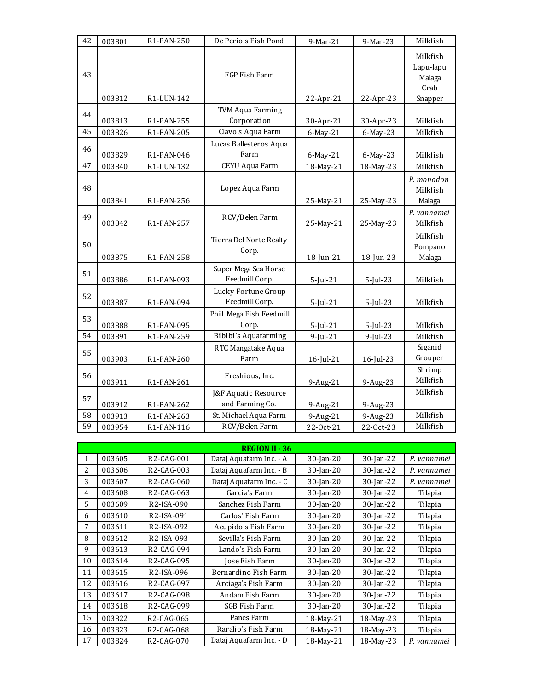| 42 | 003801 | R1-PAN-250 | De Perio's Fish Pond                    | 9-Mar-21     | 9-Mar-23     | Milkfish                                |
|----|--------|------------|-----------------------------------------|--------------|--------------|-----------------------------------------|
| 43 |        |            | FGP Fish Farm                           |              |              | Milkfish<br>Lapu-lapu<br>Malaga<br>Crab |
|    | 003812 | R1-LUN-142 |                                         | 22-Apr-21    | 22-Apr-23    | Snapper                                 |
| 44 | 003813 | R1-PAN-255 | <b>TVM Aqua Farming</b><br>Corporation  | 30-Apr-21    | 30-Apr-23    | Milkfish                                |
| 45 | 003826 | R1-PAN-205 | Clavo's Aqua Farm                       | 6-May-21     | 6-May-23     | Milkfish                                |
| 46 | 003829 | R1-PAN-046 | Lucas Ballesteros Aqua<br>Farm          | 6-May-21     | 6-May-23     | Milkfish                                |
| 47 | 003840 | R1-LUN-132 | CEYU Aqua Farm                          | 18-May-21    | 18-May-23    | Milkfish                                |
| 48 | 003841 | R1-PAN-256 | Lopez Aqua Farm                         | 25-May-21    | 25-May-23    | P. monodon<br>Milkfish<br>Malaga        |
| 49 | 003842 | R1-PAN-257 | RCV/Belen Farm                          | 25-May-21    | 25-May-23    | P. vannamei<br>Milkfish                 |
| 50 | 003875 | R1-PAN-258 | Tierra Del Norte Realty<br>Corp.        | $18$ -Jun-21 | $18$ -Jun-23 | Milkfish<br>Pompano<br>Malaga           |
| 51 | 003886 | R1-PAN-093 | Super Mega Sea Horse<br>Feedmill Corp.  | $5$ -Jul-21  | $5$ -Jul-23  | Milkfish                                |
| 52 | 003887 | R1-PAN-094 | Lucky Fortune Group<br>Feedmill Corp.   | $5$ -Jul-21  | $5$ -Jul-23  | Milkfish                                |
| 53 | 003888 | R1-PAN-095 | Phil. Mega Fish Feedmill<br>Corp.       | $5$ -Jul-21  | $5$ -Jul-23  | Milkfish                                |
| 54 | 003891 | R1-PAN-259 | Bibibi's Aquafarming                    | $9$ -Jul-21  | $9$ -Jul-23  | Milkfish                                |
| 55 | 003903 | R1-PAN-260 | RTC Mangatake Aqua<br>Farm              | 16-Jul-21    | 16-Jul-23    | Siganid<br>Grouper                      |
| 56 | 003911 | R1-PAN-261 | Freshious, Inc.                         | 9-Aug-21     | 9-Aug-23     | Shrimp<br>Milkfish                      |
| 57 | 003912 | R1-PAN-262 | J&F Aquatic Resource<br>and Farming Co. | 9-Aug-21     | 9-Aug-23     | Milkfish                                |
| 58 | 003913 | R1-PAN-263 | St. Michael Aqua Farm                   | 9-Aug-21     | 9-Aug-23     | Milkfish                                |
| 59 | 003954 | R1-PAN-116 | RCV/Belen Farm                          | 22-Oct-21    | 22-Oct-23    | Milkfish                                |

|    |        |                         | <b>REGION II - 36</b>   |              |              |             |
|----|--------|-------------------------|-------------------------|--------------|--------------|-------------|
| 1  | 003605 | R <sub>2</sub> -CAG-001 | Dataj Aquafarm Inc. - A | $30$ -Jan-20 | $30$ -Jan-22 | P. vannamei |
| 2  | 003606 | R <sub>2</sub> -CAG-003 | Dataj Aquafarm Inc. - B | $30$ -Jan-20 | $30$ -Jan-22 | P. vannamei |
| 3  | 003607 | R <sub>2</sub> -CAG-060 | Dataj Aquafarm Inc. - C | $30$ -Jan-20 | $30$ -Jan-22 | P. vannamei |
| 4  | 003608 | R2-CAG-063              | Garcia's Farm           | $30$ -Jan-20 | $30$ -Jan-22 | Tilapia     |
| 5  | 003609 | R <sub>2</sub> -ISA-090 | Sanchez Fish Farm       | $30$ -Jan-20 | $30$ -Jan-22 | Tilapia     |
| 6  | 003610 | R <sub>2</sub> -ISA-091 | Carlos' Fish Farm       | $30$ -Jan-20 | $30$ -Jan-22 | Tilapia     |
| 7  | 003611 | R <sub>2</sub> -ISA-092 | Acupido's Fish Farm     | $30$ -Jan-20 | $30$ -Jan-22 | Tilapia     |
| 8  | 003612 | R <sub>2</sub> -ISA-093 | Sevilla's Fish Farm     | $30$ -Jan-20 | $30$ -Jan-22 | Tilapia     |
| 9  | 003613 | R <sub>2</sub> -CAG-094 | Lando's Fish Farm       | $30$ -Jan-20 | $30$ -Jan-22 | Tilapia     |
| 10 | 003614 | R <sub>2</sub> -CAG-095 | Jose Fish Farm          | $30$ -Jan-20 | $30$ -Jan-22 | Tilapia     |
| 11 | 003615 | R <sub>2</sub> -ISA-096 | Bernardino Fish Farm    | $30$ -Jan-20 | $30$ -Jan-22 | Tilapia     |
| 12 | 003616 | R <sub>2</sub> -CAG-097 | Arciaga's Fish Farm     | $30$ -Jan-20 | $30$ -Jan-22 | Tilapia     |
| 13 | 003617 | R <sub>2</sub> -CAG-098 | Andam Fish Farm         | $30$ -Jan-20 | $30$ -Jan-22 | Tilapia     |
| 14 | 003618 | R <sub>2</sub> -CAG-099 | SGB Fish Farm           | $30$ -Jan-20 | $30$ -Jan-22 | Tilapia     |
| 15 | 003822 | R <sub>2</sub> -CAG-065 | Panes Farm              | 18-May-21    | 18-May-23    | Tilapia     |
| 16 | 003823 | R <sub>2</sub> -CAG-068 | Raralio's Fish Farm     | 18-May-21    | 18-May-23    | Tilapia     |
| 17 | 003824 | R <sub>2</sub> -CAG-070 | Dataj Aquafarm Inc. - D | 18-May-21    | 18-May-23    | P. vannamei |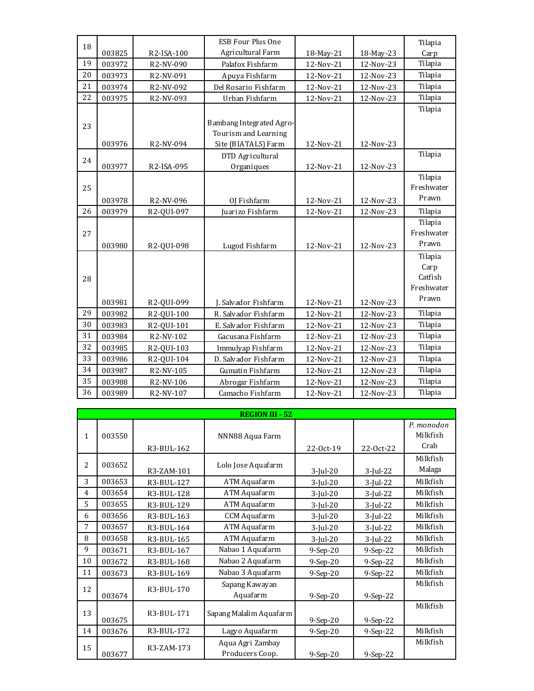| 18 |        |            | <b>ESB Four Plus One</b> |           |           | Tilapia    |
|----|--------|------------|--------------------------|-----------|-----------|------------|
|    | 003825 | R2-ISA-100 | Agricultural Farm        | 18-May-21 | 18-May-23 | Carp       |
| 19 | 003972 | R2-NV-090  | Palafox Fishfarm         | 12-Nov-21 | 12-Nov-23 | Tilapia    |
| 20 | 003973 | R2-NV-091  | Apuya Fishfarm           | 12-Nov-21 | 12-Nov-23 | Tilapia    |
| 21 | 003974 | R2-NV-092  | Del Rosario Fishfarm     | 12-Nov-21 | 12-Nov-23 | Tilapia    |
| 22 | 003975 | R2-NV-093  | Urban Fishfarm           | 12-Nov-21 | 12-Nov-23 | Tilapia    |
|    |        |            |                          |           |           | Tilapia    |
| 23 |        |            | Bambang Integrated Agro- |           |           |            |
|    |        |            | Tourism and Learning     |           |           |            |
|    | 003976 | R2-NV-094  | Site (BIATALS) Farm      | 12-Nov-21 | 12-Nov-23 |            |
| 24 |        |            | DTD Agricultural         |           |           | Tilapia    |
|    | 003977 | R2-ISA-095 | Organiques               | 12-Nov-21 | 12-Nov-23 |            |
|    |        |            |                          |           |           | Tilapia    |
| 25 |        |            |                          |           |           | Freshwater |
|    | 003978 | R2-NV-096  | OJ Fishfarm              | 12-Nov-21 | 12-Nov-23 | Prawn      |
| 26 | 003979 | R2-QUI-097 | Juarizo Fishfarm         | 12-Nov-21 | 12-Nov-23 | Tilapia    |
|    |        |            |                          |           |           | Tilapia    |
| 27 |        |            |                          |           |           | Freshwater |
|    | 003980 | R2-QUI-098 | Lugod Fishfarm           | 12-Nov-21 | 12-Nov-23 | Prawn      |
|    |        |            |                          |           |           | Tilapia    |
|    |        |            |                          |           |           | Carp       |
| 28 |        |            |                          |           |           | Catfish    |
|    |        |            |                          |           |           | Freshwater |
|    | 003981 | R2-QUI-099 | J. Salvador Fishfarm     | 12-Nov-21 | 12-Nov-23 | Prawn      |
| 29 | 003982 | R2-QUI-100 | R. Salvador Fishfarm     | 12-Nov-21 | 12-Nov-23 | Tilapia    |
| 30 | 003983 | R2-QUI-101 | E. Salvador Fishfarm     | 12-Nov-21 | 12-Nov-23 | Tilapia    |
| 31 | 003984 | R2-NV-102  | Gacusana Fishfarm        | 12-Nov-21 | 12-Nov-23 | Tilapia    |
| 32 | 003985 | R2-QUI-103 | Immulyap Fishfarm        | 12-Nov-21 | 12-Nov-23 | Tilapia    |
| 33 | 003986 | R2-QUI-104 | D. Salvador Fishfarm     | 12-Nov-21 | 12-Nov-23 | Tilapia    |
| 34 | 003987 | R2-NV-105  | Gumatin Fishfarm         | 12-Nov-21 | 12-Nov-23 | Tilapia    |
|    |        |            |                          |           |           |            |
| 35 | 003988 | R2-NV-106  | Abrogar Fishfarm         | 12-Nov-21 | 12-Nov-23 | Tilapia    |

|    | <b>REGION III - 52</b> |            |                                     |             |             |                                |  |  |  |
|----|------------------------|------------|-------------------------------------|-------------|-------------|--------------------------------|--|--|--|
| 1  | 003550                 | R3-BUL-162 | NNN88 Aqua Farm                     | 22-Oct-19   | 22-Oct-22   | P. monodon<br>Milkfish<br>Crab |  |  |  |
| 2  | 003652                 | R3-ZAM-101 | Lolo Jose Aquafarm                  | $3$ -Jul-20 | 3-Jul-22    | Milkfish<br>Malaga             |  |  |  |
| 3  | 003653                 | R3-BUL-127 | ATM Aquafarm                        | $3$ -Jul-20 | $3$ -Jul-22 | Milkfish                       |  |  |  |
| 4  | 003654                 | R3-BUL-128 | ATM Aquafarm                        | $3$ -Jul-20 | $3$ -Jul-22 | Milkfish                       |  |  |  |
| 5. | 003655                 | R3-BUL-129 | ATM Aquafarm                        | $3$ -Jul-20 | $3$ -Jul-22 | Milkfish                       |  |  |  |
| 6  | 003656                 | R3-BUL-163 | <b>CCM</b> Aquafarm                 | $3$ -Jul-20 | $3$ -Jul-22 | Milkfish                       |  |  |  |
| 7  | 003657                 | R3-BUL-164 | ATM Aquafarm                        | $3$ -Jul-20 | 3-Jul-22    | Milkfish                       |  |  |  |
| 8  | 003658                 | R3-BUL-165 | ATM Aquafarm                        | $3$ -Jul-20 | $3$ -Jul-22 | Milkfish                       |  |  |  |
| 9  | 003671                 | R3-BUL-167 | Nabao 1 Aquafarm                    | $9-Sep-20$  | $9-Sep-22$  | Milkfish                       |  |  |  |
| 10 | 003672                 | R3-BUL-168 | Nabao 2 Aquafarm                    | $9-Sep-20$  | $9-Sep-22$  | Milkfish                       |  |  |  |
| 11 | 003673                 | R3-BUL-169 | Nabao 3 Aquafarm                    | $9-Sep-20$  | 9-Sep-22    | Milkfish                       |  |  |  |
| 12 | 003674                 | R3-BUL-170 | Sapang Kawayan<br>Aquafarm          | $9-Sep-20$  | 9-Sep-22    | Milkfish                       |  |  |  |
| 13 | 003675                 | R3-BUL-171 | Sapang Malalim Aquafarm             | 9-Sep-20    | 9-Sep-22    | Milkfish                       |  |  |  |
| 14 | 003676                 | R3-BUL-172 | Lagyo Aquafarm                      | $9-Sep-20$  | $9-Sep-22$  | Milkfish                       |  |  |  |
| 15 | 003677                 | R3-ZAM-173 | Aqua Agri Zambay<br>Producers Coop. | $9-Sep-20$  | $9-Sep-22$  | Milkfish                       |  |  |  |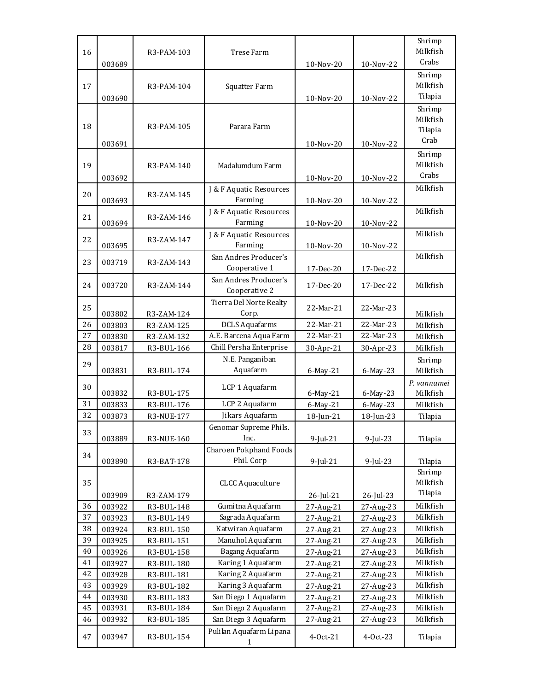|          |                  |                          |                                     |                        |                        | Shrimp<br>Milkfish   |
|----------|------------------|--------------------------|-------------------------------------|------------------------|------------------------|----------------------|
| 16       |                  | R3-PAM-103               | Trese Farm                          |                        |                        | Crabs                |
|          | 003689           |                          |                                     | 10-Nov-20              | 10-Nov-22              |                      |
|          |                  |                          |                                     |                        |                        | Shrimp               |
| 17       |                  | R3-PAM-104               | Squatter Farm                       |                        |                        | Milkfish<br>Tilapia  |
|          | 003690           |                          |                                     | 10-Nov-20              | 10-Nov-22              |                      |
|          |                  |                          |                                     |                        |                        | Shrimp<br>Milkfish   |
| 18       |                  | R3-PAM-105               | Parara Farm                         |                        |                        | Tilapia              |
|          |                  |                          |                                     |                        |                        | Crab                 |
|          | 003691           |                          |                                     | 10-Nov-20              | 10-Nov-22              | Shrimp               |
| 19       |                  | R3-PAM-140               | Madalumdum Farm                     |                        |                        | Milkfish             |
|          | 003692           |                          |                                     | 10-Nov-20              | 10-Nov-22              | Crabs                |
|          |                  |                          | J & F Aquatic Resources             |                        |                        | Milkfish             |
| 20       | 003693           | R3-ZAM-145               | Farming                             | 10-Nov-20              | 10-Nov-22              |                      |
|          |                  |                          | J & F Aquatic Resources             |                        |                        | Milkfish             |
| 21       | 003694           | R3-ZAM-146               | Farming                             | 10-Nov-20              | 10-Nov-22              |                      |
|          |                  |                          | J & F Aquatic Resources             |                        |                        | Milkfish             |
| 22       | 003695           | R3-ZAM-147               | Farming                             | 10-Nov-20              | 10-Nov-22              |                      |
|          |                  |                          | San Andres Producer's               |                        |                        | Milkfish             |
| 23       | 003719           | R3-ZAM-143               | Cooperative 1                       | 17-Dec-20              | 17-Dec-22              |                      |
|          |                  |                          | San Andres Producer's               |                        |                        |                      |
| 24       | 003720           | R3-ZAM-144               | Cooperative 2                       | 17-Dec-20              | 17-Dec-22              | Milkfish             |
|          |                  |                          | Tierra Del Norte Realty             |                        |                        |                      |
| 25       | 003802           | R3-ZAM-124               | Corp.                               | 22-Mar-21              | 22-Mar-23              | Milkfish             |
| 26       | 003803           | R3-ZAM-125               | <b>DCLS</b> Aquafarms               | 22-Mar-21              | 22-Mar-23              | Milkfish             |
| 27       | 003830           | R3-ZAM-132               | A.E. Barcena Aqua Farm              | 22-Mar-21              | 22-Mar-23              | Milkfish             |
| 28       | 003817           |                          | Chill Persha Enterprise             |                        |                        |                      |
|          |                  | R3-BUL-166               |                                     | 30-Apr-21              | 30-Apr-23              | Milkfish             |
|          |                  |                          | N.E. Panganiban                     |                        |                        | Shrimp               |
| 29       | 003831           | R3-BUL-174               | Aquafarm                            | 6-May-21               | 6-May-23               | Milkfish             |
|          |                  |                          |                                     |                        |                        | P. vannamei          |
| 30       | 003832           | R3-BUL-175               | LCP 1 Aquafarm                      | 6-May-21               | 6-May-23               | Milkfish             |
| 31       | 003833           | R3-BUL-176               | LCP 2 Aquafarm                      | 6-May-21               | 6-May-23               | Milkfish             |
| 32       | 003873           | R3-NUE-177               | Jikars Aquafarm                     | 18-Jun-21              | 18-Jun-23              | Tilapia              |
| 33       |                  |                          | Genomar Supreme Phils.              |                        |                        |                      |
|          | 003889           | R3-NUE-160               | Inc.                                | $9$ -Jul-21            | 9-Jul-23               | Tilapia              |
| 34       |                  |                          | <b>Charoen Pokphand Foods</b>       |                        |                        |                      |
|          | 003890           | R3-BAT-178               | Phil. Corp                          | 9-Jul-21               | $9$ -Jul-23            | Tilapia              |
|          |                  |                          |                                     |                        |                        | Shrimp               |
| 35       |                  |                          | <b>CLCC Aquaculture</b>             |                        |                        | Milkfish             |
|          | 003909           | R3-ZAM-179               |                                     | 26-Jul-21              | 26-Jul-23              | Tilapia              |
| 36       | 003922           | R3-BUL-148               | Gumitna Aquafarm                    | 27-Aug-21              | 27-Aug-23              | Milkfish             |
| 37       | 003923           | R3-BUL-149               | Sagrada Aquafarm                    | 27-Aug-21              | 27-Aug-23              | Milkfish             |
| 38<br>39 | 003924           | R3-BUL-150               | Katwiran Aquafarm                   | 27-Aug-21              | 27-Aug-23              | Milkfish             |
| 40       | 003925           | R3-BUL-151               | Manuhol Aquafarm<br>Bagang Aquafarm | 27-Aug-21              | 27-Aug-23              | Milkfish<br>Milkfish |
| 41       | 003926           | R3-BUL-158               | Karing 1 Aquafarm                   | 27-Aug-21              | 27-Aug-23              | Milkfish             |
| 42       | 003927<br>003928 | R3-BUL-180               | Karing 2 Aquafarm                   | 27-Aug-21              | 27-Aug-23              | Milkfish             |
| 43       | 003929           | R3-BUL-181<br>R3-BUL-182 | Karing 3 Aquafarm                   | 27-Aug-21<br>27-Aug-21 | 27-Aug-23<br>27-Aug-23 | Milkfish             |
| 44       | 003930           | R3-BUL-183               | San Diego 1 Aquafarm                | 27-Aug-21              | 27-Aug-23              | Milkfish             |
| 45       | 003931           | R3-BUL-184               | San Diego 2 Aquafarm                | 27-Aug-21              | 27-Aug-23              | Milkfish             |
| 46       | 003932           | R3-BUL-185               | San Diego 3 Aquafarm                | 27-Aug-21              | 27-Aug-23              | Milkfish             |
| 47       | 003947           | R3-BUL-154               | Pulilan Aquafarm Lipana             | 4-Oct-21               | 4-Oct-23               | Tilapia              |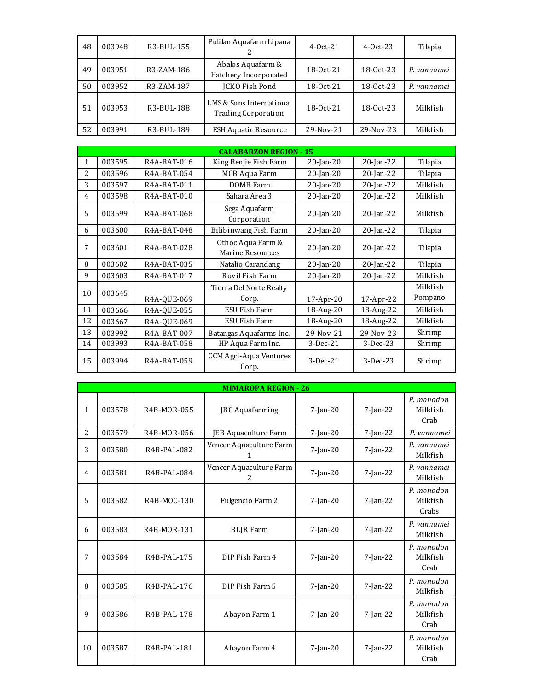| 48 | 003948 | R3-BUL-155 | Pulilan Aquafarm Lipana                                | $4-0ct-21$  | $4-0ct-23$  | Tilapia     |
|----|--------|------------|--------------------------------------------------------|-------------|-------------|-------------|
| 49 | 003951 | R3-ZAM-186 | Abalos Aquafarm &<br>Hatchery Incorporated             | $18-0ct-21$ | 18-0ct-23   | P. vannamei |
| 50 | 003952 | R3-ZAM-187 | <b>JCKO Fish Pond</b>                                  | 18-0ct-21   | 18-0ct-23   | P. vannamei |
| 51 | 003953 | R3-BUL-188 | LMS & Sons International<br><b>Trading Corporation</b> | $18-0ct-21$ | $18-0ct-23$ | Milkfish    |
| 52 | 003991 | R3-BUL-189 | <b>ESH Aquatic Resource</b>                            | 29-Nov-21   | 29-Nov-23   | Milkfish    |

|    |        |                          | <b>CALABARZON REGION - 15</b>         |                 |              |          |
|----|--------|--------------------------|---------------------------------------|-----------------|--------------|----------|
| 1  | 003595 | R4A-BAT-016              | King Benjie Fish Farm                 | $20$ -Jan-20    | $20$ -Jan-22 | Tilapia  |
| 2. | 003596 | R4A-BAT-054              | MGB Aqua Farm                         | $20$ -Jan-20    | $20$ -Jan-22 | Tilapia  |
| 3  | 003597 | R4A-BAT-011              | DOMB Farm                             | $20$ -Jan- $20$ | $20$ -Jan-22 | Milkfish |
| 4  | 003598 | R4A-BAT-010              | Sahara Area 3                         | $20$ -Jan-20    | $20$ -Jan-22 | Milkfish |
| 5  | 003599 | R <sub>4</sub> A-BAT-068 | Sega Aquafarm<br>Corporation          | $20$ -Jan-20    | $20$ -Jan-22 | Milkfish |
| 6  | 003600 | R4A-BAT-048              | Bilibinwang Fish Farm                 | $20$ -Jan-20    | $20$ -Jan-22 | Tilapia  |
| 7  | 003601 | R4A-BAT-028              | Othoc Aqua Farm &<br>Marine Resources | $20$ -Jan- $20$ | $20$ -Jan-22 | Tilapia  |
| 8  | 003602 | R4A-BAT-035              | Natalio Carandang                     | $20$ -Jan-20    | $20$ -Jan-22 | Tilapia  |
| 9  | 003603 | R4A-BAT-017              | Rovil Fish Farm                       | $20$ -Jan-20    | $20$ -Jan-22 | Milkfish |
|    |        |                          | Tierra Del Norte Realty               |                 |              | Milkfish |
| 10 | 003645 | R4A-QUE-069              | Corp.                                 | 17-Apr-20       | 17-Apr-22    | Pompano  |
| 11 | 003666 | R4A-OUE-055              | ESU Fish Farm                         | 18-Aug-20       | 18-Aug-22    | Milkfish |
| 12 | 003667 | R4A-QUE-069              | ESU Fish Farm                         | 18-Aug-20       | 18-Aug-22    | Milkfish |
| 13 | 003992 | R4A-BAT-007              | Batangas Aquafarms Inc.               | 29-Nov-21       | 29-Nov-23    | Shrimp   |
| 14 | 003993 | R4A-BAT-058              | HP Aqua Farm Inc.                     | 3-Dec-21        | $3-Dec-23$   | Shrimp   |
| 15 | 003994 | R4A-BAT-059              | CCM Agri-Aqua Ventures<br>Corp.       | $3-Dec-21$      | $3-Dec-23$   | Shrimp   |

|                |        |             | <b>MIMAROPA REGION - 26</b>  |                |             |                                 |
|----------------|--------|-------------|------------------------------|----------------|-------------|---------------------------------|
| 1              | 003578 | R4B-MOR-055 | JBC Aquafarming              | $7-Ian-20$     | $7$ -Jan-22 | P. monodon<br>Milkfish<br>Crab  |
| $\overline{2}$ | 003579 | R4B-MOR-056 | JEB Aquaculture Farm         | $7$ -Jan-20    | $7$ -Jan-22 | P. vannamei                     |
| 3              | 003580 | R4B-PAL-082 | Vencer Aquaculture Farm<br>1 | $7-Ian-20$     | $7$ -Jan-22 | P. vannamei<br>Milkfish         |
| 4              | 003581 | R4B-PAL-084 | Vencer Aquaculture Farm<br>2 | $7-Ian-20$     | $7$ -Jan-22 | P. vannamei<br>Milkfish         |
| 5              | 003582 | R4B-MOC-130 | Fulgencio Farm 2             | $7 - Jan - 20$ | $7$ -Jan-22 | P. monodon<br>Milkfish<br>Crabs |
| 6              | 003583 | R4B-MOR-131 | <b>BLIR</b> Farm             | $7$ -Jan-20    | $7$ -Jan-22 | P. vannamei<br>Milkfish         |
| 7              | 003584 | R4B-PAL-175 | DIP Fish Farm 4              | $7$ -Jan-20    | $7$ -Jan-22 | P. monodon<br>Milkfish<br>Crab  |
| 8              | 003585 | R4B-PAL-176 | DIP Fish Farm 5              | $7-Ian-20$     | $7-Ian-22$  | P. monodon<br>Milkfish          |
| 9              | 003586 | R4B-PAL-178 | Abayon Farm 1                | $7-Ian-20$     | $7$ -Jan-22 | P. monodon<br>Milkfish<br>Crab  |
| 10             | 003587 | R4B-PAL-181 | Abayon Farm 4                | $7$ -Jan-20    | $7$ -Jan-22 | P. monodon<br>Milkfish<br>Crab  |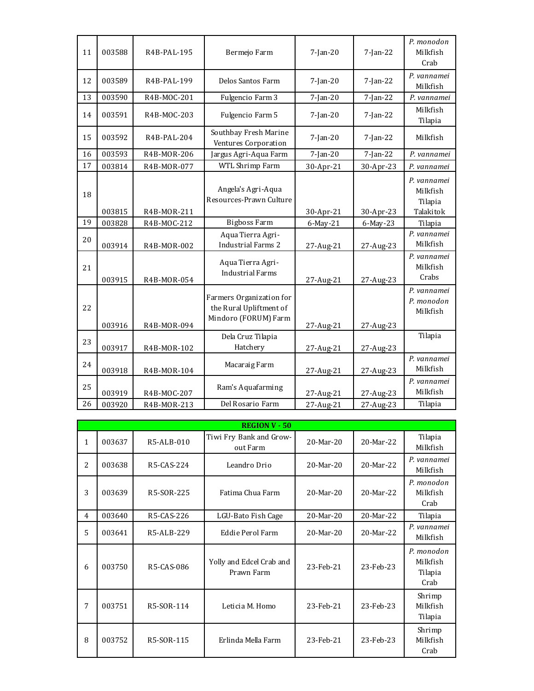| 11 | 003588 | R4B-PAL-195                | Bermejo Farm                                                                | $7$ -Jan-20           | $7$ -Jan-22           | P. monodon<br>Milkfish<br>Crab                  |
|----|--------|----------------------------|-----------------------------------------------------------------------------|-----------------------|-----------------------|-------------------------------------------------|
| 12 | 003589 | R4B-PAL-199                | Delos Santos Farm                                                           | $7$ -Jan-20           | $7$ -Jan-22           | P. vannamei<br>Milkfish                         |
| 13 | 003590 | R4B-MOC-201                | Fulgencio Farm 3                                                            | $7$ -Jan-20           | $7$ -Jan-22           | P. vannamei                                     |
| 14 | 003591 | R4B-MOC-203                | Fulgencio Farm 5                                                            | $7$ -Jan-20           | $7$ -Jan-22           | Milkfish<br>Tilapia                             |
| 15 | 003592 | R4B-PAL-204                | Southbay Fresh Marine<br>Ventures Corporation                               | $7$ -Jan-20           | 7-Jan-22              | Milkfish                                        |
| 16 | 003593 | R4B-MOR-206                | Jargus Agri-Aqua Farm                                                       | $7$ -Jan-20           | $7$ -Jan-22           | P. vannamei                                     |
| 17 | 003814 | R4B-MOR-077                | WTL Shrimp Farm                                                             | 30-Apr-21             | 30-Apr-23             | P. vannamei                                     |
| 18 | 003815 |                            | Angela's Agri-Aqua<br>Resources-Prawn Culture                               |                       |                       | P. vannamei<br>Milkfish<br>Tilapia<br>Talakitok |
| 19 | 003828 | R4B-MOR-211                | <b>Bigboss Farm</b>                                                         | 30-Apr-21             | 30-Apr-23             | Tilapia                                         |
| 20 | 003914 | R4B-MOC-212<br>R4B-MOR-002 | Aqua Tierra Agri-<br><b>Industrial Farms 2</b>                              | 6-May-21<br>27-Aug-21 | 6-May-23<br>27-Aug-23 | P. vannamei<br>Milkfish                         |
| 21 | 003915 | R4B-MOR-054                | Aqua Tierra Agri-<br><b>Industrial Farms</b>                                | 27-Aug-21             | 27-Aug-23             | P. vannamei<br>Milkfish<br>Crabs                |
| 22 | 003916 | R4B-MOR-094                | Farmers Organization for<br>the Rural Upliftment of<br>Mindoro (FORUM) Farm | 27-Aug-21             | 27-Aug-23             | P. vannamei<br>P. monodon<br>Milkfish           |
| 23 | 003917 | R4B-MOR-102                | Dela Cruz Tilapia<br>Hatchery                                               | 27-Aug-21             | 27-Aug-23             | Tilapia                                         |
| 24 | 003918 | R4B-MOR-104                | Macaraig Farm                                                               | 27-Aug-21             | 27-Aug-23             | P. vannamei<br>Milkfish                         |
| 25 | 003919 | R4B-MOC-207                | Ram's Aquafarming                                                           | 27-Aug-21             | 27-Aug-23             | P. vannamei<br>Milkfish                         |
| 26 | 003920 | R4B-MOR-213                | Del Rosario Farm                                                            | 27-Aug-21             | 27-Aug-23             | Tilapia                                         |

|                | <b>REGION V - 50</b> |            |                                        |             |           |                                           |  |  |  |
|----------------|----------------------|------------|----------------------------------------|-------------|-----------|-------------------------------------------|--|--|--|
| 1              | 003637               | R5-ALB-010 | Tiwi Fry Bank and Grow-<br>out Farm    | 20-Mar-20   | 20-Mar-22 | Tilapia<br>Milkfish                       |  |  |  |
| $\overline{2}$ | 003638               | R5-CAS-224 | Leandro Drio                           | $20-Mar-20$ | 20-Mar-22 | P. vannamei<br>Milkfish                   |  |  |  |
| 3              | 003639               | R5-SOR-225 | Fatima Chua Farm                       | 20-Mar-20   | 20-Mar-22 | P. monodon<br>Milkfish<br>Crab            |  |  |  |
| 4              | 003640               | R5-CAS-226 | LGU-Bato Fish Cage                     | $20-Mar-20$ | 20-Mar-22 | Tilapia                                   |  |  |  |
| 5              | 003641               | R5-ALB-229 | Eddie Perol Farm                       | 20-Mar-20   | 20-Mar-22 | P. vannamei<br>Milkfish                   |  |  |  |
| 6              | 003750               | R5-CAS-086 | Yolly and Edcel Crab and<br>Prawn Farm | 23-Feb-21   | 23-Feb-23 | P. monodon<br>Milkfish<br>Tilapia<br>Crab |  |  |  |
| 7              | 003751               | R5-SOR-114 | Leticia M. Homo                        | 23-Feb-21   | 23-Feb-23 | Shrimp<br>Milkfish<br>Tilapia             |  |  |  |
| 8              | 003752               | R5-SOR-115 | Erlinda Mella Farm                     | 23-Feb-21   | 23-Feb-23 | Shrimp<br>Milkfish<br>Crab                |  |  |  |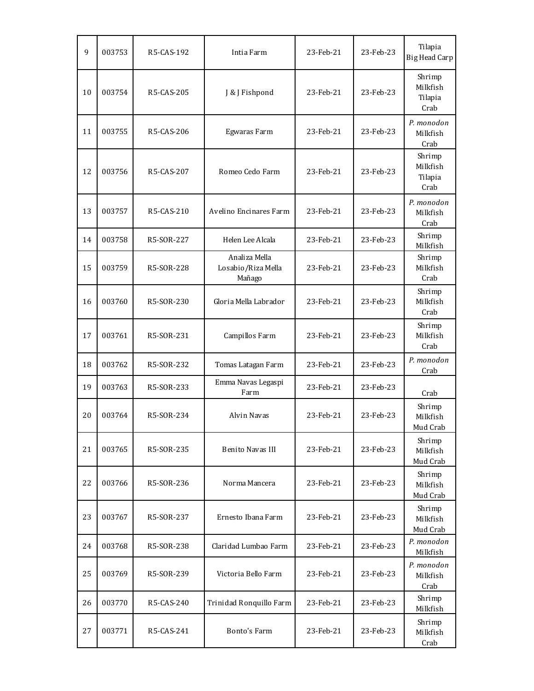| 9  | 003753 | R5-CAS-192 | Intia Farm                                    | 23-Feb-21 | 23-Feb-23 | Tilapia<br><b>Big Head Carp</b>       |
|----|--------|------------|-----------------------------------------------|-----------|-----------|---------------------------------------|
| 10 | 003754 | R5-CAS-205 | J & J Fishpond                                | 23-Feb-21 | 23-Feb-23 | Shrimp<br>Milkfish<br>Tilapia<br>Crab |
| 11 | 003755 | R5-CAS-206 | Egwaras Farm                                  | 23-Feb-21 | 23-Feb-23 | P. monodon<br>Milkfish<br>Crab        |
| 12 | 003756 | R5-CAS-207 | Romeo Cedo Farm                               | 23-Feb-21 | 23-Feb-23 | Shrimp<br>Milkfish<br>Tilapia<br>Crab |
| 13 | 003757 | R5-CAS-210 | Avelino Encinares Farm                        | 23-Feb-21 | 23-Feb-23 | P. monodon<br>Milkfish<br>Crab        |
| 14 | 003758 | R5-SOR-227 | Helen Lee Alcala                              | 23-Feb-21 | 23-Feb-23 | Shrimp<br>Milkfish                    |
| 15 | 003759 | R5-SOR-228 | Analiza Mella<br>Losabio/Riza Mella<br>Mañago | 23-Feb-21 | 23-Feb-23 | Shrimp<br>Milkfish<br>Crab            |
| 16 | 003760 | R5-SOR-230 | Gloria Mella Labrador                         | 23-Feb-21 | 23-Feb-23 | Shrimp<br>Milkfish<br>Crab            |
| 17 | 003761 | R5-SOR-231 | Campillos Farm                                | 23-Feb-21 | 23-Feb-23 | Shrimp<br>Milkfish<br>Crab            |
| 18 | 003762 | R5-SOR-232 | Tomas Latagan Farm                            | 23-Feb-21 | 23-Feb-23 | P. monodon<br>Crab                    |
| 19 | 003763 | R5-SOR-233 | Emma Navas Legaspi<br>Farm                    | 23-Feb-21 | 23-Feb-23 | Crab                                  |
| 20 | 003764 | R5-SOR-234 | Alvin Navas                                   | 23-Feb-21 | 23-Feb-23 | Shrimp<br>Milkfish<br>Mud Crab        |
| 21 | 003765 | R5-SOR-235 | Benito Navas III                              | 23-Feb-21 | 23-Feb-23 | Shrimp<br>Milkfish<br>Mud Crab        |
| 22 | 003766 | R5-SOR-236 | Norma Mancera                                 | 23-Feb-21 | 23-Feb-23 | Shrimp<br>Milkfish<br>Mud Crab        |
| 23 | 003767 | R5-SOR-237 | Ernesto Ibana Farm                            | 23-Feb-21 | 23-Feb-23 | Shrimp<br>Milkfish<br>Mud Crab        |
| 24 | 003768 | R5-SOR-238 | Claridad Lumbao Farm                          | 23-Feb-21 | 23-Feb-23 | P. monodon<br>Milkfish                |
| 25 | 003769 | R5-SOR-239 | Victoria Bello Farm                           | 23-Feb-21 | 23-Feb-23 | P. monodon<br>Milkfish<br>Crab        |
| 26 | 003770 | R5-CAS-240 | Trinidad Ronquillo Farm                       | 23-Feb-21 | 23-Feb-23 | Shrimp<br>Milkfish                    |
| 27 | 003771 | R5-CAS-241 | Bonto's Farm                                  | 23-Feb-21 | 23-Feb-23 | Shrimp<br>Milkfish<br>Crab            |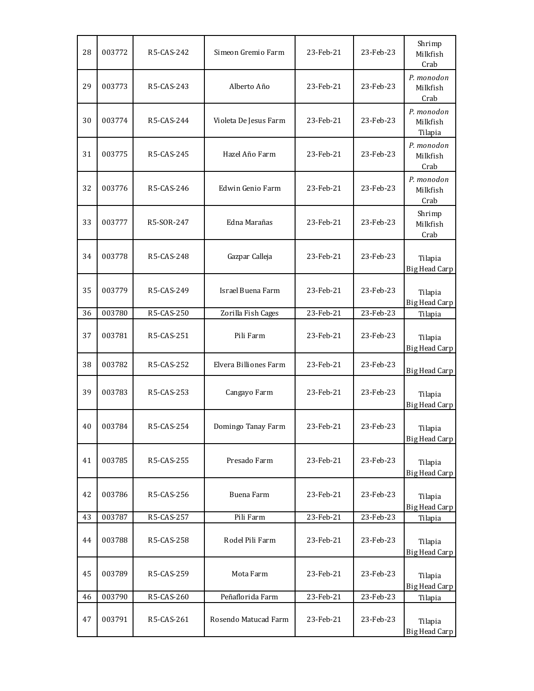| 28 | 003772 | R5-CAS-242 | Simeon Gremio Farm    | 23-Feb-21 | 23-Feb-23 | Shrimp<br>Milkfish<br>Crab        |
|----|--------|------------|-----------------------|-----------|-----------|-----------------------------------|
| 29 | 003773 | R5-CAS-243 | Alberto Año           | 23-Feb-21 | 23-Feb-23 | P. monodon<br>Milkfish<br>Crab    |
| 30 | 003774 | R5-CAS-244 | Violeta De Jesus Farm | 23-Feb-21 | 23-Feb-23 | P. monodon<br>Milkfish<br>Tilapia |
| 31 | 003775 | R5-CAS-245 | Hazel Año Farm        | 23-Feb-21 | 23-Feb-23 | P. monodon<br>Milkfish<br>Crab    |
| 32 | 003776 | R5-CAS-246 | Edwin Genio Farm      | 23-Feb-21 | 23-Feb-23 | P. monodon<br>Milkfish<br>Crab    |
| 33 | 003777 | R5-SOR-247 | Edna Marañas          | 23-Feb-21 | 23-Feb-23 | Shrimp<br>Milkfish<br>Crab        |
| 34 | 003778 | R5-CAS-248 | Gazpar Calleja        | 23-Feb-21 | 23-Feb-23 | Tilapia<br><b>Big Head Carp</b>   |
| 35 | 003779 | R5-CAS-249 | Israel Buena Farm     | 23-Feb-21 | 23-Feb-23 | Tilapia<br><b>Big Head Carp</b>   |
| 36 | 003780 | R5-CAS-250 | Zorilla Fish Cages    | 23-Feb-21 | 23-Feb-23 | Tilapia                           |
| 37 | 003781 | R5-CAS-251 | Pili Farm             | 23-Feb-21 | 23-Feb-23 | Tilapia<br><b>Big Head Carp</b>   |
| 38 | 003782 | R5-CAS-252 | Elvera Billiones Farm | 23-Feb-21 | 23-Feb-23 | <b>Big Head Carp</b>              |
| 39 | 003783 | R5-CAS-253 | Cangayo Farm          | 23-Feb-21 | 23-Feb-23 | Tilapia<br><b>Big Head Carp</b>   |
| 40 | 003784 | R5-CAS-254 | Domingo Tanay Farm    | 23-Feb-21 | 23-Feb-23 | Tilapia<br><b>Big Head Carp</b>   |
| 41 | 003785 | R5-CAS-255 | Presado Farm          | 23-Feb-21 | 23-Feb-23 | Tilapia<br><b>Big Head Carp</b>   |
| 42 | 003786 | R5-CAS-256 | Buena Farm            | 23-Feb-21 | 23-Feb-23 | Tilapia<br><b>Big Head Carp</b>   |
| 43 | 003787 | R5-CAS-257 | Pili Farm             | 23-Feb-21 | 23-Feb-23 | Tilapia                           |
| 44 | 003788 | R5-CAS-258 | Rodel Pili Farm       | 23-Feb-21 | 23-Feb-23 | Tilapia<br><b>Big Head Carp</b>   |
| 45 | 003789 | R5-CAS-259 | Mota Farm             | 23-Feb-21 | 23-Feb-23 | Tilapia<br><b>Big Head Carp</b>   |
| 46 | 003790 | R5-CAS-260 | Peñaflorida Farm      | 23-Feb-21 | 23-Feb-23 | Tilapia                           |
| 47 | 003791 | R5-CAS-261 | Rosendo Matucad Farm  | 23-Feb-21 | 23-Feb-23 | Tilapia<br>Big Head Carp          |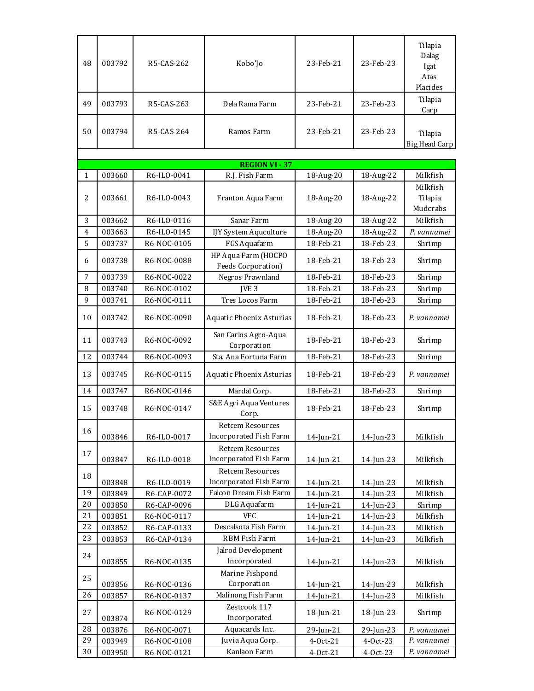| 48<br>49     | 003792<br>003793 | R5-CAS-262<br>R5-CAS-263   | Kobo'Jo<br>Dela Rama Farm                         | 23-Feb-21<br>23-Feb-21 | 23-Feb-23<br>23-Feb-23 | Tilapia<br>Dalag<br>Igat<br>Atas<br>Placides<br>Tilapia |
|--------------|------------------|----------------------------|---------------------------------------------------|------------------------|------------------------|---------------------------------------------------------|
| 50           | 003794           | R5-CAS-264                 | Ramos Farm                                        | 23-Feb-21              | 23-Feb-23              | Carp<br>Tilapia<br>Big Head Carp                        |
|              |                  |                            | <b>REGION VI - 37</b>                             |                        |                        |                                                         |
| $\mathbf{1}$ | 003660           | R6-ILO-0041                | R.J. Fish Farm                                    | 18-Aug-20              | 18-Aug-22              | Milkfish                                                |
| 2            | 003661           | R6-ILO-0043                | Franton Aqua Farm                                 | 18-Aug-20              | 18-Aug-22              | Milkfish<br>Tilapia<br>Mudcrabs                         |
| 3            | 003662           | R6-ILO-0116                | Sanar Farm                                        | 18-Aug-20              | 18-Aug-22              | Milkfish                                                |
| 4            | 003663           | R6-ILO-0145                | IJY System Aquculture                             | 18-Aug-20              | 18-Aug-22              | P. vannamei                                             |
| 5            | 003737           | R6-NOC-0105                | FGS Aquafarm                                      | 18-Feb-21              | 18-Feb-23              | Shrimp                                                  |
| 6            | 003738           | R6-NOC-0088                | HP Aqua Farm (HOCPO<br>Feeds Corporation)         | 18-Feb-21              | 18-Feb-23              | Shrimp                                                  |
| 7            | 003739           | R6-NOC-0022                | Negros Prawnland                                  | 18-Feb-21              | 18-Feb-23              | Shrimp                                                  |
| 8            | 003740           | R6-NOC-0102                | IVE <sub>3</sub>                                  | 18-Feb-21              | 18-Feb-23              | Shrimp                                                  |
| 9            | 003741           | R6-NOC-0111                | Tres Locos Farm                                   | 18-Feb-21              | 18-Feb-23              | Shrimp                                                  |
| 10           | 003742           | R6-NOC-0090                | Aquatic Phoenix Asturias                          | 18-Feb-21              | 18-Feb-23              | P. vannamei                                             |
| 11           | 003743           | R6-NOC-0092                | San Carlos Agro-Aqua<br>Corporation               | 18-Feb-21              | 18-Feb-23              | Shrimp                                                  |
| 12           | 003744           | R6-NOC-0093                | Sta. Ana Fortuna Farm                             | 18-Feb-21              | 18-Feb-23              | Shrimp                                                  |
| 13           | 003745           | R6-NOC-0115                | Aquatic Phoenix Asturias                          | 18-Feb-21              | 18-Feb-23              | P. vannamei                                             |
| 14           | 003747           | R6-NOC-0146                | Mardal Corp.                                      | 18-Feb-21              | 18-Feb-23              | Shrimp                                                  |
| 15           | 003748           | R6-NOC-0147                | S&E Agri Aqua Ventures<br>Corp.                   | 18-Feb-21              | 18-Feb-23              | Shrimp                                                  |
| 16           | 003846           | R6-ILO-0017                | <b>Retcem Resources</b><br>Incorporated Fish Farm | 14-Jun-21              | 14-Jun-23              | Milkfish                                                |
| 17           | 003847           | R6-ILO-0018                | <b>Retcem Resources</b><br>Incorporated Fish Farm | $14$ -Jun-21           | 14-Jun-23              | Milkfish                                                |
| 18           |                  |                            | <b>Retcem Resources</b>                           |                        |                        |                                                         |
|              | 003848           | R6-ILO-0019                | Incorporated Fish Farm                            | 14-Jun-21              | $14$ -Jun-23           | Milkfish                                                |
| 19           | 003849           | R6-CAP-0072                | Falcon Dream Fish Farm                            | 14-Jun-21              | 14-Jun-23              | Milkfish                                                |
| 20<br>21     | 003850           | R6-CAP-0096                | DLG Aquafarm<br><b>VFC</b>                        | 14-Jun-21              | 14-Jun-23              | Shrimp                                                  |
| 22           | 003851           | R6-NOC-0117                | Descalsota Fish Farm                              | 14-Jun-21              | 14-Jun-23              | Milkfish                                                |
| 23           | 003852<br>003853 | R6-CAP-0133<br>R6-CAP-0134 | RBM Fish Farm                                     | 14-Jun-21<br>14-Jun-21 | 14-Jun-23<br>14-Jun-23 | Milkfish<br>Milkfish                                    |
|              |                  |                            | Jalrod Development                                |                        |                        |                                                         |
| 24           | 003855           | R6-NOC-0135                | Incorporated                                      | $14$ -Jun-21           | $14$ -Jun-23           | Milkfish                                                |
|              |                  |                            | Marine Fishpond                                   |                        |                        |                                                         |
| 25           | 003856           | R6-NOC-0136                | Corporation                                       | 14-Jun-21              | 14-Jun-23              | Milkfish                                                |
| 26           | 003857           | R6-NOC-0137                | Malinong Fish Farm                                | 14-Jun-21              | 14-Jun-23              | Milkfish                                                |
| 27           | 003874           | R6-NOC-0129                | Zestcook 117<br>Incorporated                      | 18-Jun-21              | 18-Jun-23              | Shrimp                                                  |
| 28           | 003876           | R6-NOC-0071                | Aquacards Inc.                                    | 29-Jun-21              | 29-Jun-23              | P. vannamei                                             |
| 29           | 003949           | R6-NOC-0108                | Juvia Aqua Corp.                                  | 4-Oct-21               | 4-Oct-23               | P. vannamei                                             |
| 30           | 003950           | R6-NOC-0121                | Kanlaon Farm                                      | 4-Oct-21               | 4-Oct-23               | P. vannamei                                             |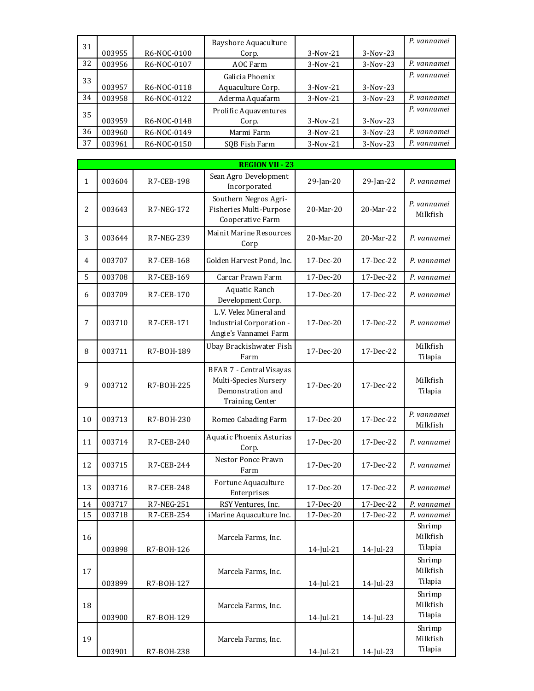| 31 |        |             | Bayshore Aquaculture  |            |            | P. vannamei |
|----|--------|-------------|-----------------------|------------|------------|-------------|
|    | 003955 | R6-NOC-0100 | Corp.                 | $3-Nov-21$ | $3-Nov-23$ |             |
| 32 | 003956 | R6-NOC-0107 | AOC Farm              | $3-Nov-21$ | $3-Nov-23$ | P. vannamei |
| 33 |        |             | Galicia Phoenix       |            |            | P. vannamei |
|    | 003957 | R6-NOC-0118 | Aquaculture Corp.     | $3-Nov-21$ | $3-Nov-23$ |             |
| 34 | 003958 | R6-NOC-0122 | Aderma Aquafarm       | $3-Nov-21$ | $3-Nov-23$ | P. vannamei |
| 35 |        |             | Prolific Aquaventures |            |            | P. vannamei |
|    | 003959 | R6-NOC-0148 | Corp.                 | $3-Nov-21$ | $3-Nov-23$ |             |
| 36 | 003960 | R6-NOC-0149 | Marmi Farm            | $3-Nov-21$ | $3-Nov-23$ | P. vannamei |
| 37 | 003961 | R6-NOC-0150 | SOB Fish Farm         | $3-Nov-21$ | $3-Nov-23$ | P. vannamei |

|                |        |            | <b>REGION VII - 23</b>                                                                                  |              |           |                               |
|----------------|--------|------------|---------------------------------------------------------------------------------------------------------|--------------|-----------|-------------------------------|
| $\mathbf{1}$   | 003604 | R7-CEB-198 | Sean Agro Development<br>Incorporated                                                                   | 29-Jan-20    | 29-Jan-22 | P. vannamei                   |
| $\overline{2}$ | 003643 | R7-NEG-172 | Southern Negros Agri-<br>Fisheries Multi-Purpose<br>Cooperative Farm                                    | 20-Mar-20    | 20-Mar-22 | P. vannamei<br>Milkfish       |
| 3              | 003644 | R7-NEG-239 | Mainit Marine Resources<br>Corp                                                                         | 20-Mar-20    | 20-Mar-22 | P. vannamei                   |
| 4              | 003707 | R7-CEB-168 | Golden Harvest Pond, Inc.                                                                               | 17-Dec-20    | 17-Dec-22 | P. vannamei                   |
| 5              | 003708 | R7-CEB-169 | Carcar Prawn Farm                                                                                       | 17-Dec-20    | 17-Dec-22 | P. vannamei                   |
| 6              | 003709 | R7-CEB-170 | Aquatic Ranch<br>Development Corp.                                                                      | 17-Dec-20    | 17-Dec-22 | P. vannamei                   |
| 7              | 003710 | R7-CEB-171 | L.V. Velez Mineral and<br>Industrial Corporation -<br>Angie's Vannamei Farm                             | 17-Dec-20    | 17-Dec-22 | P. vannamei                   |
| 8              | 003711 | R7-B0H-189 | Ubay Brackishwater Fish<br>Farm                                                                         | $17-Dec-20$  | 17-Dec-22 | Milkfish<br>Tilapia           |
| 9              | 003712 | R7-B0H-225 | <b>BFAR 7 - Central Visayas</b><br>Multi-Species Nursery<br>Demonstration and<br><b>Training Center</b> | 17-Dec-20    | 17-Dec-22 | Milkfish<br>Tilapia           |
| 10             | 003713 | R7-B0H-230 | Romeo Cabading Farm                                                                                     | 17-Dec-20    | 17-Dec-22 | P. vannamei<br>Milkfish       |
| 11             | 003714 | R7-CEB-240 | Aquatic Phoenix Asturias<br>Corp.                                                                       | 17-Dec-20    | 17-Dec-22 | P. vannamei                   |
| 12             | 003715 | R7-CEB-244 | Nestor Ponce Prawn<br>Farm                                                                              | 17-Dec-20    | 17-Dec-22 | P. vannamei                   |
| 13             | 003716 | R7-CEB-248 | Fortune Aquaculture<br>Enterprises                                                                      | 17-Dec-20    | 17-Dec-22 | P. vannamei                   |
| 14             | 003717 | R7-NEG-251 | RSY Ventures, Inc.                                                                                      | 17-Dec-20    | 17-Dec-22 | P. vannamei                   |
| 15             | 003718 | R7-CEB-254 | iMarine Aquaculture Inc.                                                                                | 17-Dec-20    | 17-Dec-22 | P. vannamei                   |
| 16             | 003898 | R7-B0H-126 | Marcela Farms, Inc.                                                                                     | 14-Jul-21    | 14-Jul-23 | Shrimp<br>Milkfish<br>Tilapia |
| 17             | 003899 | R7-B0H-127 | Marcela Farms, Inc.                                                                                     | 14-Jul-21    | 14-Jul-23 | Shrimp<br>Milkfish<br>Tilapia |
| 18             | 003900 | R7-B0H-129 | Marcela Farms, Inc.                                                                                     | $14$ -Jul-21 | 14-Jul-23 | Shrimp<br>Milkfish<br>Tilapia |
| 19             | 003901 | R7-B0H-238 | Marcela Farms, Inc.                                                                                     | $14$ -Jul-21 | 14-Jul-23 | Shrimp<br>Milkfish<br>Tilapia |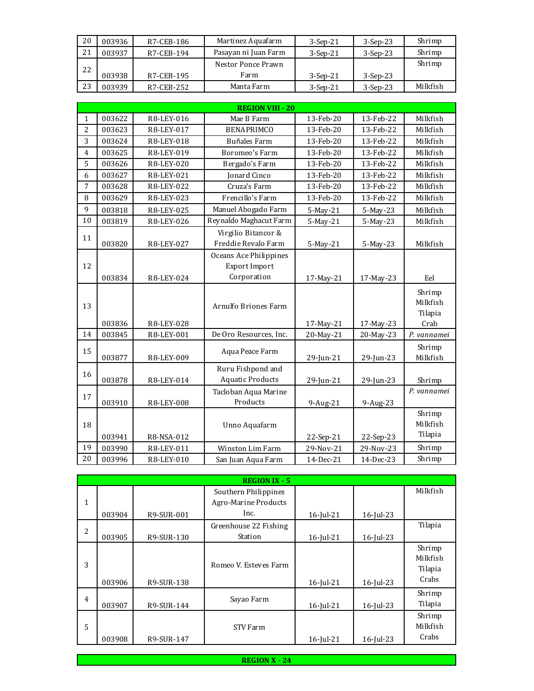| 20 | 003936 | R7-CEB-186 | Martinez Aquafarm    | $3-Sep-21$ | $3-Sep-23$ | Shrimp   |
|----|--------|------------|----------------------|------------|------------|----------|
| 21 | 003937 | R7-CEB-194 | Pasayan ni Juan Farm | $3-Sep-21$ | $3-Sep-23$ | Shrimp   |
| 22 |        |            | Nestor Ponce Prawn   |            |            | Shrimp   |
|    | 003938 | R7-CEB-195 | Farm                 | $3-Sep-21$ | $3-Sep-23$ |          |
| 23 | 003939 | R7-CEB-252 | Manta Farm           | $3-Sep-21$ | $3-Sep-23$ | Milkfish |

|                |        |            | <b>REGION VIII - 20</b>                                |           |           |                               |
|----------------|--------|------------|--------------------------------------------------------|-----------|-----------|-------------------------------|
| $\mathbf 1$    | 003622 | R8-LEY-016 | Mae B Farm                                             | 13-Feb-20 | 13-Feb-22 | Milkfish                      |
| $\overline{c}$ | 003623 | R8-LEY-017 | <b>BENAPRIMCO</b>                                      | 13-Feb-20 | 13-Feb-22 | Milkfish                      |
| 3              | 003624 | R8-LEY-018 | <b>Buñales Farm</b>                                    | 13-Feb-20 | 13-Feb-22 | Milkfish                      |
| 4              | 003625 | R8-LEY-019 | Boromeo's Farm                                         | 13-Feb-20 | 13-Feb-22 | Milkfish                      |
| 5              | 003626 | R8-LEY-020 | Bergado's Farm                                         | 13-Feb-20 | 13-Feb-22 | Milkfish                      |
| 6              | 003627 | R8-LEY-021 | Jonard Cinco                                           | 13-Feb-20 | 13-Feb-22 | Milkfish                      |
| 7              | 003628 | R8-LEY-022 | Cruza's Farm                                           | 13-Feb-20 | 13-Feb-22 | Milkfish                      |
| 8              | 003629 | R8-LEY-023 | Frencillo's Farm                                       | 13-Feb-20 | 13-Feb-22 | Milkfish                      |
| 9              | 003818 | R8-LEY-025 | Manuel Abogado Farm                                    | 5-May-21  | 5-May-23  | Milkfish                      |
| 10             | 003819 | R8-LEY-026 | Reynaldo Maghacut Farm                                 | 5-May-21  | 5-May-23  | Milkfish                      |
| 11             | 003820 | R8-LEY-027 | Virgilio Bitancor &<br>Freddie Revalo Farm             | 5-May-21  | 5-May-23  | Milkfish                      |
| 12             | 003834 | R8-LEY-024 | Oceans Ace Philippines<br>Export Import<br>Corporation | 17-May-21 | 17-May-23 | Eel                           |
|                |        |            | Arnulfo Briones Farm                                   |           |           | Shrimp<br>Milkfish            |
| 13             |        |            |                                                        |           |           | Tilapia                       |
|                | 003836 | R8-LEY-028 |                                                        | 17-May-21 | 17-May-23 | Crab                          |
| 14             | 003845 | R8-LEY-001 | De Oro Resources, Inc.                                 | 20-May-21 | 20-May-23 | P. vannamei                   |
| 15             | 003877 | R8-LEY-009 | Aqua Peace Farm                                        | 29-Jun-21 | 29-Jun-23 | Shrimp<br>Milkfish            |
| 16             | 003878 | R8-LEY-014 | Ruru Fishpond and<br><b>Aquatic Products</b>           | 29-Jun-21 | 29-Jun-23 | Shrimp                        |
| 17             | 003910 | R8-LEY-008 | Tacloban Aqua Marine<br>Products                       | 9-Aug-21  | 9-Aug-23  | P. vannamei                   |
| 18             | 003941 | R8-NSA-012 | Unno Aquafarm                                          | 22-Sep-21 | 22-Sep-23 | Shrimp<br>Milkfish<br>Tilapia |
| 19             | 003990 | R8-LEY-011 | Winston Lim Farm                                       | 29-Nov-21 | 29-Nov-23 | Shrimp                        |

|   |        |            | <b>REGION IX - 5</b>  |              |              |          |
|---|--------|------------|-----------------------|--------------|--------------|----------|
|   |        |            | Southern Philippines  |              |              | Milkfish |
| 1 |        |            | Agro-Marine Products  |              |              |          |
|   | 003904 | R9-SUR-001 | Inc.                  | 16-Jul-21    | 16-Jul-23    |          |
| 2 |        |            | Greenhouse 22 Fishing |              |              | Tilapia  |
|   | 003905 | R9-SUR-130 | Station               | 16-Jul-21    | 16-Jul-23    |          |
|   |        |            |                       |              |              | Shrimp   |
| 3 |        |            | Romeo V. Esteves Farm |              |              | Milkfish |
|   |        |            |                       |              |              | Tilapia  |
|   | 003906 | R9-SUR-138 |                       | $16$ -Jul-21 | $16$ -Jul-23 | Crabs    |
| 4 |        |            | Sayao Farm            |              |              | Shrimp   |
|   | 003907 | R9-SUR-144 |                       | 16-Jul-21    | $16$ -Jul-23 | Tilapia  |
|   |        |            |                       |              |              | Shrimp   |
| 5 |        |            | STV Farm              |              |              | Milkfish |
|   | 003908 | R9-SUR-147 |                       | 16-Jul-21    | 16-Jul-23    | Crabs    |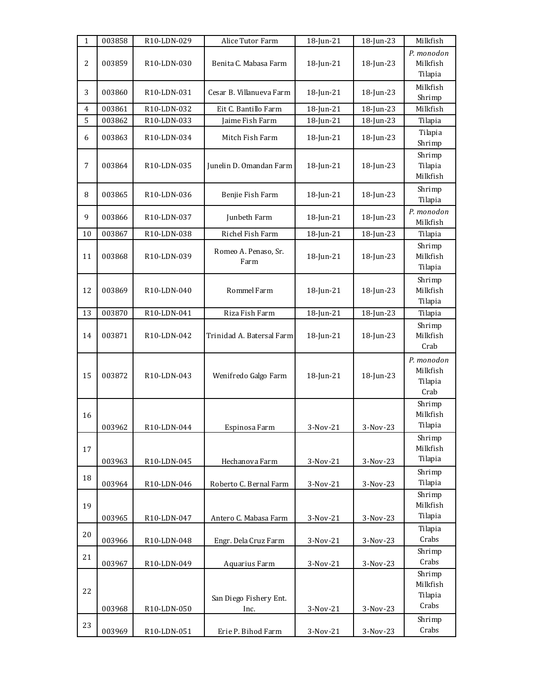| $\mathbf{1}$   | 003858 | R10-LDN-029              | Alice Tutor Farm               | 18-Jun-21    | 18-Jun-23 | Milkfish                                  |
|----------------|--------|--------------------------|--------------------------------|--------------|-----------|-------------------------------------------|
| $\overline{c}$ | 003859 | R10-LDN-030              | Benita C. Mabasa Farm          | $18$ -Jun-21 | 18-Jun-23 | P. monodon<br>Milkfish<br>Tilapia         |
| 3              | 003860 | R10-LDN-031              | Cesar B. Villanueva Farm       | 18-Jun-21    | 18-Jun-23 | Milkfish<br>Shrimp                        |
| 4              | 003861 | R10-LDN-032              | Eit C. Bantillo Farm           | 18-Jun-21    | 18-Jun-23 | Milkfish                                  |
| 5              | 003862 | R10-LDN-033              | Jaime Fish Farm                | 18-Jun-21    | 18-Jun-23 | Tilapia                                   |
| 6              | 003863 | R10-LDN-034              | Mitch Fish Farm                | $18$ -Jun-21 | 18-Jun-23 | Tilapia<br>Shrimp                         |
| 7              | 003864 | R10-LDN-035              | Junelin D. Omandan Farm        | 18-Jun-21    | 18-Jun-23 | Shrimp<br>Tilapia<br>Milkfish             |
| 8              | 003865 | R <sub>10</sub> -LDN-036 | Benjie Fish Farm               | $18$ -Jun-21 | 18-Jun-23 | Shrimp<br>Tilapia                         |
| 9              | 003866 | R10-LDN-037              | Junbeth Farm                   | 18-Jun-21    | 18-Jun-23 | P. monodon<br>Milkfish                    |
| 10             | 003867 | R10-LDN-038              | Richel Fish Farm               | 18-Jun-21    | 18-Jun-23 | Tilapia                                   |
| 11             | 003868 | R10-LDN-039              | Romeo A. Penaso, Sr.<br>Farm   | 18-Jun-21    | 18-Jun-23 | Shrimp<br>Milkfish<br>Tilapia             |
| 12             | 003869 | R10-LDN-040              | Rommel Farm                    | 18-Jun-21    | 18-Jun-23 | Shrimp<br>Milkfish<br>Tilapia             |
| 13             | 003870 | R10-LDN-041              | Riza Fish Farm                 | 18-Jun-21    | 18-Jun-23 | Tilapia                                   |
| 14             | 003871 | R10-LDN-042              | Trinidad A. Batersal Farm      | $18$ -Jun-21 | 18-Jun-23 | Shrimp<br>Milkfish<br>Crab                |
| 15             | 003872 | R10-LDN-043              | Wenifredo Galgo Farm           | 18-Jun-21    | 18-Jun-23 | P. monodon<br>Milkfish<br>Tilapia<br>Crab |
| 16             | 003962 | R10-LDN-044              | Espinosa Farm                  | $3-Nov-21$   | 3-Nov-23  | Shrimp<br>Milkfish<br>Tilapia             |
| 17             | 003963 | R10-LDN-045              | Hechanova Farm                 | 3-Nov-21     | 3-Nov-23  | Shrimp<br>Milkfish<br>Tilapia             |
| 18             | 003964 | R10-LDN-046              | Roberto C. Bernal Farm         | 3-Nov-21     | 3-Nov-23  | Shrimp<br>Tilapia                         |
| 19             | 003965 | R10-LDN-047              | Antero C. Mabasa Farm          | 3-Nov-21     | 3-Nov-23  | Shrimp<br>Milkfish<br>Tilapia             |
| 20             | 003966 | R10-LDN-048              | Engr. Dela Cruz Farm           | 3-Nov-21     | 3-Nov-23  | Tilapia<br>Crabs                          |
| 21             | 003967 | R10-LDN-049              | Aquarius Farm                  | 3-Nov-21     | 3-Nov-23  | Shrimp<br>Crabs                           |
| 22             | 003968 | R10-LDN-050              | San Diego Fishery Ent.<br>Inc. | 3-Nov-21     | 3-Nov-23  | Shrimp<br>Milkfish<br>Tilapia<br>Crabs    |
|                |        |                          |                                |              |           | Shrimp                                    |
| 23             | 003969 | R10-LDN-051              | Erie P. Bihod Farm             | 3-Nov-21     | 3-Nov-23  | Crabs                                     |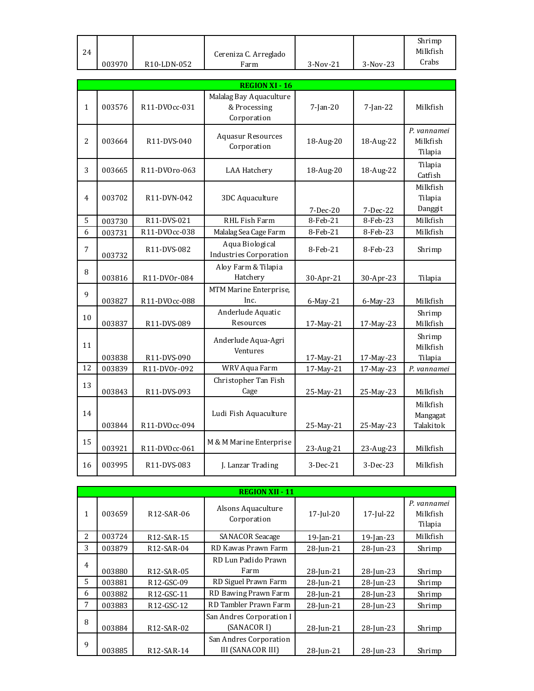|    |        |                          |                       |            |            | Shrimp   |
|----|--------|--------------------------|-----------------------|------------|------------|----------|
| 24 |        |                          | Cereniza C. Arreglado |            |            | Milkfish |
|    |        |                          |                       |            |            |          |
|    | 003970 | R <sub>10</sub> -LDN-052 | ∵arm                  | $3-Nov-21$ | $3-Nov-23$ | Crabs    |

|                |        |               | <b>REGION XI - 16</b>                                  |             |             |                                    |
|----------------|--------|---------------|--------------------------------------------------------|-------------|-------------|------------------------------------|
| $\mathbf{1}$   | 003576 | R11-DV0cc-031 | Malalag Bay Aquaculture<br>& Processing<br>Corporation | $7$ -Jan-20 | $7$ -Jan-22 | Milkfish                           |
| $\overline{a}$ | 003664 | R11-DVS-040   | <b>Aquasur Resources</b><br>Corporation                | 18-Aug-20   | 18-Aug-22   | P. vannamei<br>Milkfish<br>Tilapia |
| 3              | 003665 | R11-DV0ro-063 | <b>LAA Hatchery</b>                                    | 18-Aug-20   | 18-Aug-22   | Tilapia<br>Catfish                 |
| 4              | 003702 | R11-DVN-042   | 3DC Aquaculture                                        | 7-Dec-20    | 7-Dec-22    | Milkfish<br>Tilapia<br>Danggit     |
| 5              | 003730 | R11-DVS-021   | RHL Fish Farm                                          | 8-Feb-21    | 8-Feb-23    | Milkfish                           |
| 6              | 003731 | R11-DVOcc-038 | Malalag Sea Cage Farm                                  | 8-Feb-21    | 8-Feb-23    | Milkfish                           |
| 7              | 003732 | R11-DVS-082   | Aqua Biological<br><b>Industries Corporation</b>       | 8-Feb-21    | 8-Feb-23    | Shrimp                             |
| 8              | 003816 | R11-DV0r-084  | Aloy Farm & Tilapia<br>Hatchery                        | 30-Apr-21   | 30-Apr-23   | Tilapia                            |
| 9              | 003827 | R11-DVOcc-088 | MTM Marine Enterprise,<br>Inc.                         | 6-May-21    | 6-May-23    | Milkfish                           |
| 10             | 003837 | R11-DVS-089   | Anderlude Aquatic<br>Resources                         | 17-May-21   | 17-May-23   | Shrimp<br>Milkfish                 |
| 11             | 003838 | R11-DVS-090   | Anderlude Aqua-Agri<br>Ventures                        | 17-May-21   | 17-May-23   | Shrimp<br>Milkfish<br>Tilapia      |
| 12             | 003839 | R11-DVOr-092  | WRV Aqua Farm                                          | 17-May-21   | 17-May-23   | P. vannamei                        |
| 13             | 003843 | R11-DVS-093   | Christopher Tan Fish<br>Cage                           | 25-May-21   | 25-May-23   | Milkfish                           |
| 14             | 003844 | R11-DVOcc-094 | Ludi Fish Aquaculture                                  | 25-May-21   | 25-May-23   | Milkfish<br>Mangagat<br>Talakitok  |
| 15             | 003921 | R11-DVOcc-061 | M & M Marine Enterprise                                | 23-Aug-21   | 23-Aug-23   | Milkfish                           |
| 16             | 003995 | R11-DVS-083   | J. Lanzar Trading                                      | $3-Dec-21$  | 3-Dec-23    | Milkfish                           |

|                | <b>REGION XII - 11</b> |                         |                                                    |                 |              |                                    |  |  |
|----------------|------------------------|-------------------------|----------------------------------------------------|-----------------|--------------|------------------------------------|--|--|
| 1              | 003659                 | R <sub>12</sub> -SAR-06 | Alsons Aquaculture<br>Corporation                  | $17$ -Jul-20    | 17-Jul-22    | P. vannamei<br>Milkfish<br>Tilapia |  |  |
| $\overline{2}$ | 003724                 | R <sub>12</sub> -SAR-15 | <b>SANACOR Seacage</b>                             | 19-Jan-21       | $19$ -Jan-23 | Milkfish                           |  |  |
| 3              | 003879                 | R <sub>12</sub> -SAR-04 | RD Kawas Prawn Farm                                | 28-Jun-21       | 28-Jun-23    | Shrimp                             |  |  |
| 4              | 003880                 | R <sub>12</sub> -SAR-05 | RD Lun Padido Prawn<br>Farm                        | 28-Jun-21       | 28-Jun-23    | Shrimp                             |  |  |
| 5.             | 003881                 | R <sub>12</sub> -GSC-09 | RD Siguel Prawn Farm                               | 28-Jun-21       | 28-Jun-23    | Shrimp                             |  |  |
| 6              | 003882                 | R12-GSC-11              | RD Bawing Prawn Farm                               | 28-Jun-21       | 28-Jun-23    | Shrimp                             |  |  |
| 7              | 003883                 | R12-GSC-12              | RD Tambler Prawn Farm                              | 28-Jun-21       | 28-Jun-23    | Shrimp                             |  |  |
| 8              | 003884                 | R <sub>12</sub> -SAR-02 | San Andres Corporation I<br>(SANACOR I)            | 28-Jun-21       | 28-Jun-23    | Shrimp                             |  |  |
| 9              | 003885                 | R <sub>12</sub> -SAR-14 | San Andres Corporation<br><b>III (SANACOR III)</b> | $28$ -Jun- $21$ | 28-Jun-23    | Shrimp                             |  |  |